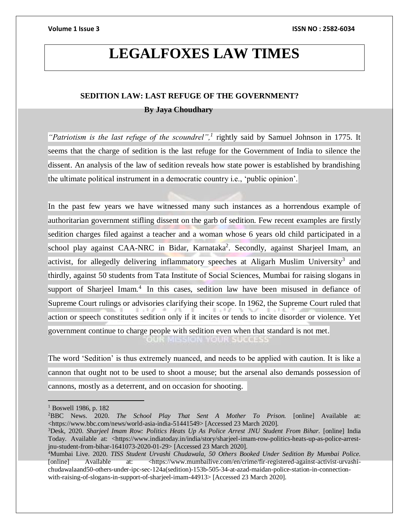## **LEGALFOXES LAW TIMES**

## **SEDITION LAW: LAST REFUGE OF THE GOVERNMENT? By Jaya Choudhary**

*"Patriotism is the last refuge of the scoundrel",<sup>1</sup>* rightly said by Samuel Johnson in 1775. It seems that the charge of sedition is the last refuge for the Government of India to silence the dissent. An analysis of the law of sedition reveals how state power is established by brandishing the ultimate political instrument in a democratic country i.e., 'public opinion'.

In the past few years we have witnessed many such instances as a horrendous example of authoritarian government stifling dissent on the garb of sedition. Few recent examples are firstly sedition charges filed against a teacher and a woman whose 6 years old child participated in a school play against CAA-NRC in Bidar, Karnataka<sup>2</sup>. Secondly, against Sharjeel Imam, an activist, for allegedly delivering inflammatory speeches at Aligarh Muslim University<sup>3</sup> and thirdly, against 50 students from Tata Institute of Social Sciences, Mumbai for raising slogans in support of Sharjeel Imam.<sup>4</sup> In this cases, sedition law have been misused in defiance of Supreme Court rulings or advisories clarifying their scope. In 1962, the Supreme Court ruled that action or speech constitutes sedition only if it incites or tends to incite disorder or violence. Yet government continue to charge people with sedition even when that standard is not met. **OUR MISSION YOUR SUCCESS** 

The word 'Sedition' is thus extremely nuanced, and needs to be applied with caution. It is like a cannon that ought not to be used to shoot a mouse; but the arsenal also demands possession of cannons, mostly as a deterrent, and on occasion for shooting.

<sup>&</sup>lt;sup>1</sup> Boswell 1986, p. 182

<sup>2</sup>BBC News. 2020. *The School Play That Sent A Mother To Prison.* [online] Available at: <https://www.bbc.com/news/world-asia-india-51441549> [Accessed 23 March 2020].

<sup>3</sup>Desk, 2020. *Sharjeel Imam Row: Politics Heats Up As Police Arrest JNU Student From Bihar.* [online] India Today. Available at: <https://www.indiatoday.in/india/story/sharjeel-imam-row-politics-heats-up-as-police-arrestjnu-student-from-bihar-1641073-2020-01-29> [Accessed 23 March 2020].

<sup>4</sup>Mumbai Live. 2020. *TISS Student Urvashi Chudawala, 50 Others Booked Under Sedition By Mumbai Police.* [online] Available at: <https://www.mumbailive.com/en/crime/fir-registered-against-activist-urvashichudawalaand50-others-under-ipc-sec-124a(sedition)-153b-505-34-at-azad-maidan-police-station-in-connectionwith-raising-of-slogans-in-support-of-sharjeel-imam-44913> [Accessed 23 March 2020].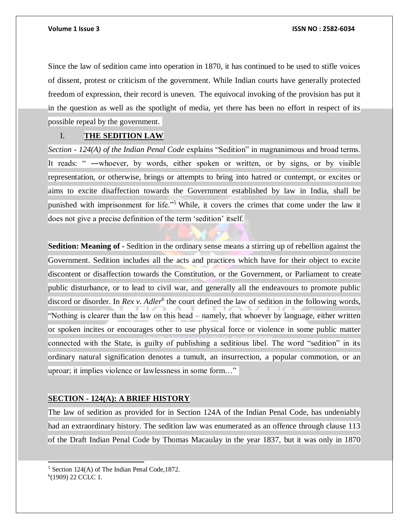Since the law of sedition came into operation in 1870, it has continued to be used to stifle voices of dissent, protest or criticism of the government. While Indian courts have generally protected freedom of expression, their record is uneven."The equivocal invoking of the provision has put it in the question as well as the spotlight of media, yet there has been no effort in respect of its possible repeal by the government.

## I. **THE SEDITION LAW**

*Section - 124(A) of the Indian Penal Code* explains "Sedition" in magnanimous and broad terms. It reads: " —whoever, by words, either spoken or written, or by signs, or by visible representation, or otherwise, brings or attempts to bring into hatred or contempt, or excites or aims to excite disaffection towards the Government established by law in India, shall be punished with imprisonment for life."<sup>5</sup> While, it covers the crimes that come under the law it does not give a precise definition of the term 'sedition' itself.

**Sedition: Meaning of -** Sedition in the ordinary sense means a stirring up of rebellion against the Government. Sedition includes all the acts and practices which have for their object to excite discontent or disaffection towards the Constitution, or the Government, or Parliament to create public disturbance, or to lead to civil war, and generally all the endeavours to promote public discord or disorder. In *Rex v. Adler<sup>6</sup>* the court defined the law of sedition in the following words, "Nothing is clearer than the law on this head – namely, that whoever by language, either written or spoken incites or encourages other to use physical force or violence in some public matter connected with the State, is guilty of publishing a seditious libel. The word "sedition" in its ordinary natural signification denotes a tumult, an insurrection, a popular commotion, or an uproar; it implies violence or lawlessness in some form…"

## **SECTION - 124(A): A BRIEF HISTORY**

The law of sedition as provided for in Section 124A of the Indian Penal Code, has undeniably had an extraordinary history. The sedition law was enumerated as an offence through clause 113 of the Draft Indian Penal Code by Thomas Macaulay in the year 1837, but it was only in 1870

l

<sup>5</sup> Section 124(A) of The Indian Penal Code,1872. 6 (1909) 22 CCLC 1.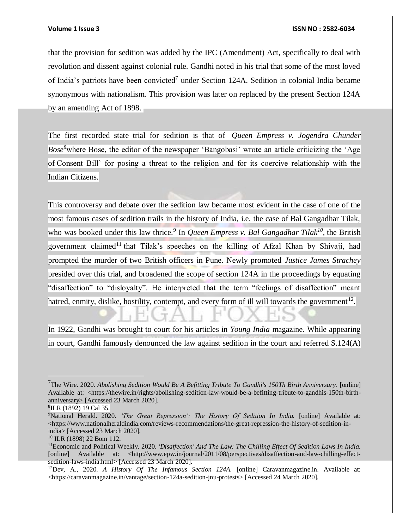that the provision for sedition was added by the IPC (Amendment) Act, specifically to deal with revolution and dissent against colonial rule. Gandhi noted in his trial that some of the most loved of India's patriots have been convicted<sup>7</sup> under Section 124A. Sedition in colonial India became synonymous with nationalism. This provision was later on replaced by the present Section 124A by an amending Act of 1898.

The first recorded state trial for sedition is that of *Queen Empress v. Jogendra Chunder Bose*<sup>8</sup>where Bose, the editor of the newspaper 'Bangobasi' wrote an article criticizing the 'Age of Consent Bill' for posing a threat to the religion and for its coercive relationship with the Indian Citizens.

This controversy and debate over the sedition law became most evident in the case of one of the most famous cases of sedition trails in the history of India, i.e. the case of Bal Gangadhar Tilak, who was booked under this law thrice.<sup>9</sup> In *Queen Empress v. Bal Gangadhar Tilak*<sup>10</sup>, the British government claimed<sup>11</sup> that Tilak's speeches on the killing of Afzal Khan by Shivaji, had prompted the murder of two British officers in Pune. Newly promoted *Justice James Strachey* presided over this trial, and broadened the scope of section 124A in the proceedings by equating "disaffection" to "disloyalty". He interpreted that the term "feelings of disaffection" meant hatred, enmity, dislike, hostility, contempt, and every form of ill will towards the government<sup>12</sup>.

In 1922, Gandhi was brought to court for his articles in *Young India* magazine. While appearing in court, Gandhi famously denounced the law against sedition in the court and referred S.124(A)

<sup>7</sup>The Wire. 2020. *Abolishing Sedition Would Be A Befitting Tribute To Gandhi's 150Th Birth Anniversary.* [online] Available at: <https://thewire.in/rights/abolishing-sedition-law-would-be-a-befitting-tribute-to-gandhis-150th-birthanniversary> [Accessed 23 March 2020].

<sup>8</sup> ILR (1892) 19 Cal 35.

<sup>9</sup>National Herald. 2020. *'The Great Repression': The History Of Sedition In India.* [online] Available at:  $\langle$ https://www.nationalheraldindia.com/reviews-recommendations/the-great-repression-the-history-of-sedition-inindia> [Accessed 23 March 2020].

<sup>10</sup> ILR (1898) 22 Bom 112.

<sup>11</sup>Economic and Political Weekly. 2020*. 'Disaffection' And The Law: The Chilling Effect Of Sedition Laws In India.* [online] Available at: <http://www.epw.in/journal/2011/08/perspectives/disaffection-and-law-chilling-effectsedition-laws-india.html> [Accessed 23 March 2020].

<sup>12</sup>Dev, A., 2020. *A History Of The Infamous Section 124A.* [online] Caravanmagazine.in. Available at: <https://caravanmagazine.in/vantage/section-124a-sedition-jnu-protests> [Accessed 24 March 2020].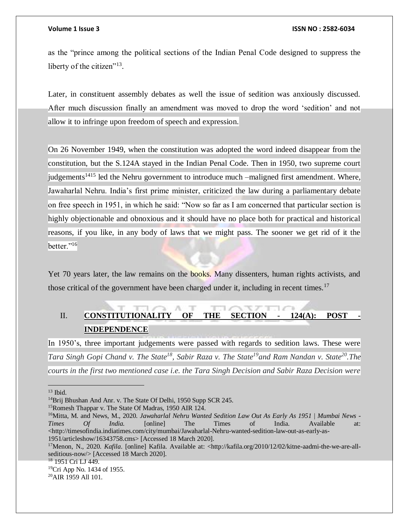as the "prince among the political sections of the Indian Penal Code designed to suppress the liberty of the citizen"<sup>13</sup>.

Later, in constituent assembly debates as well the issue of sedition was anxiously discussed. After much discussion finally an amendment was moved to drop the word 'sedition' and not allow it to infringe upon freedom of speech and expression.

On 26 November 1949, when the constitution was adopted the word indeed disappear from the constitution, but the S.124A stayed in the Indian Penal Code. Then in 1950, two supreme court judgements<sup>1415</sup> led the Nehru government to introduce much –maligned first amendment. Where, Jawaharlal Nehru. India's first prime minister, criticized the law during a parliamentary debate on free speech in 1951, in which he said: "Now so far as I am concerned that particular section is highly objectionable and obnoxious and it should have no place both for practical and historical reasons, if you like, in any body of laws that we might pass. The sooner we get rid of it the better."<sup>16</sup>

Yet 70 years later, the law remains on the books. Many dissenters, human rights activists, and those critical of the government have been charged under it, including in recent times.<sup>17</sup>

## II. **CONSTITUTIONALITY OF THE SECTION - 124(A): POST - INDEPENDENCE**

In 1950's, three important judgements were passed with regards to sedition laws. These were *Tara Singh Gopi Chand v. The State<sup>18</sup>, Sabir Raza v. The State<sup>19</sup>and Ram Nandan v. State<sup>20</sup> .The courts in the first two mentioned case i.e. the Tara Singh Decision and Sabir Raza Decision were* 

 $13$  Ibid.

<sup>&</sup>lt;sup>14</sup>Brij Bhushan And Anr. v. The State Of Delhi, 1950 Supp SCR 245.

<sup>15</sup>Romesh Thappar v. The State Of Madras, 1950 AIR 124.

<sup>16</sup>Mitta, M. and News, M., 2020. *Jawaharlal Nehru Wanted Sedition Law Out As Early As 1951 | Mumbai News - Times Of India.* [online] The Times of India. Available at: <http://timesofindia.indiatimes.com/city/mumbai/Jawaharlal-Nehru-wanted-sedition-law-out-as-early-as-1951/articleshow/16343758.cms> [Accessed 18 March 2020].

<sup>17</sup>Menon, N., 2020. *Kafila*. [online] Kafila. Available at: <http://kafila.org/2010/12/02/kitne-aadmi-the-we-are-allseditious-now/> [Accessed 18 March 2020].

<sup>&</sup>lt;sup>18</sup> 1951 Cri LJ 449.

<sup>&</sup>lt;sup>19</sup>Cri App No. 1434 of 1955.

<sup>20</sup>AIR 1959 All 101.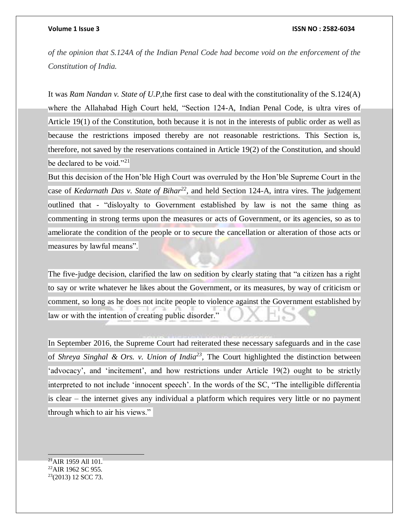*of the opinion that S.124A of the Indian Penal Code had become void on the enforcement of the Constitution of India.*

It was *Ram Nandan v. State of U.P,*the first case to deal with the constitutionality of the S.124(A) where the Allahabad High Court held, "Section 124-A, Indian Penal Code, is ultra vires of Article 19(1) of the Constitution, both because it is not in the interests of public order as well as because the restrictions imposed thereby are not reasonable restrictions. This Section is, therefore, not saved by the reservations contained in Article 19(2) of the Constitution, and should be declared to be void."<sup>21</sup>

But this decision of the Hon'ble High Court was overruled by the Hon'ble Supreme Court in the case of *Kedarnath Das v. State of Bihar<sup>22</sup>*, and held Section 124-A, intra vires. The judgement outlined that - "disloyalty to Government established by law is not the same thing as commenting in strong terms upon the measures or acts of Government, or its agencies, so as to ameliorate the condition of the people or to secure the cancellation or alteration of those acts or measures by lawful means".

The five-judge decision, clarified the law on sedition by clearly stating that "a citizen has a right to say or write whatever he likes about the Government, or its measures, by way of criticism or comment, so long as he does not incite people to violence against the Government established by law or with the intention of creating public disorder."

In September 2016, the Supreme Court had reiterated these necessary safeguards and in the case of *Shreya Singhal & Ors. v. Union of India*<sup>23</sup>, The Court highlighted the distinction between 'advocacy', and 'incitement', and how restrictions under Article 19(2) ought to be strictly interpreted to not include 'innocent speech'. In the words of the SC, "The intelligible differentia is clear – the internet gives any individual a platform which requires very little or no payment through which to air his views."

  $^{21}$ AIR 1959 All 101. <sup>22</sup>AIR 1962 SC 955. 23(2013) 12 SCC 73.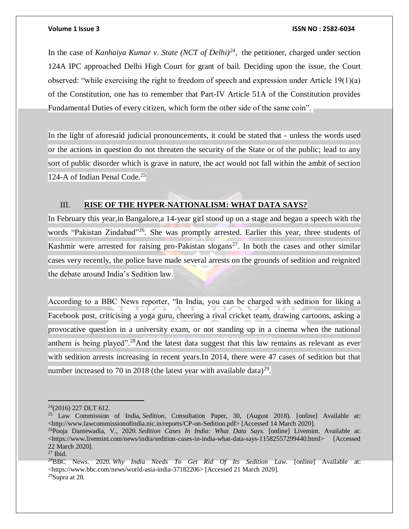In the case of *Kanhaiya Kumar v. State (NCT of Delhi)<sup>24</sup>*, the petitioner, charged under section 124A IPC approached Delhi High Court for grant of bail. Deciding upon the issue, the Court observed: "while exercising the right to freedom of speech and expression under Article 19(1)(a) of the Constitution, one has to remember that Part-IV Article 51A of the Constitution provides Fundamental Duties of every citizen, which form the other side of the same coin".

In the light of aforesaid judicial pronouncements, it could be stated that - unless the words used or the actions in question do not threaten the security of the State or of the public; lead to any sort of public disorder which is grave in nature, the act would not fall within the ambit of section 124-A of Indian Penal Code.<sup>25</sup>

## III. **RISE OF THE HYPER-NATIONALISM: WHAT DATA SAYS?**

In February this year,in Bangalore,a 14-year girl stood up on a stage and began a speech with the words "Pakistan Zindabad"<sup>26</sup>. She was promptly arrested. Earlier this year, three students of Kashmir were arrested for raising pro-Pakistan slogans<sup>27</sup>. In both the cases and other similar cases very recently, the police have made several arrests on the grounds of sedition and reignited the debate around India's Sedition law.

According to a BBC News reporter, "In India, you can be charged with sedition for liking a Facebook post, criticising a yoga guru, cheering a rival cricket team, drawing cartoons, asking a provocative question in a university exam, or not standing up in a cinema when the national anthem is being played".<sup>28</sup>And the latest data suggest that this law remains as relevant as ever with sedition arrests increasing in recent years. In 2014, there were 47 cases of sedition but that number increased to 70 in 2018 (the latest year with available data)<sup>29</sup>.

 $\overline{a}$  $24(2016)$  227 DLT 612.

<sup>25</sup> Law Commission of India, *Sedition*, Consultation Paper, 30, (August 2018). [online] Available at: <http://www.lawcommissionofindia.nic.in/reports/CP-on-Sedition.pdf> [Accessed 14 March 2020].

<sup>26</sup>Pooja Dantewadia, V., 2020. *Sedition Cases In India: What Data Says*. [online] Livemint. Available at: <https://www.livemint.com/news/india/sedition-cases-in-india-what-data-says-11582557299440.html> [Accessed] 22 March 2020].

 $27$  Ibid.

<sup>28</sup>BBC News. 2020. *Why India Needs To Get Rid Of Its Sedition Law*. [online] Available at: <https://www.bbc.com/news/world-asia-india-37182206> [Accessed 21 March 2020]. 29Supra at 28.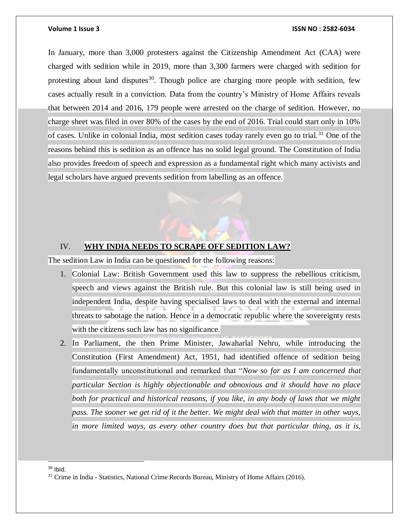In January, more than 3,000 protesters against the Citizenship Amendment Act (CAA) were charged with sedition while in 2019, more than 3,300 farmers were charged with sedition for protesting about land disputes<sup>30</sup>. Though police are charging more people with sedition, few cases actually result in a conviction. Data from the country's Ministry of Home Affairs reveals that between 2014 and 2016, 179 people were arrested on the charge of sedition. However, no charge sheet was filed in over 80% of the cases by the end of 2016. Trial could start only in 10% of cases. Unlike in colonial India, most sedition cases today rarely even go to trial. <sup>31</sup> One of the reasons behind this is sedition as an offence has no solid legal ground. The Constitution of India also provides freedom of speech and expression as a fundamental right which many activists and legal scholars have argued prevents sedition from labelling as an offence.

## IV. **WHY INDIA NEEDS TO SCRAPE OFF SEDITION LAW?**

The sedition Law in India can be questioned for the following reasons:

- 1. Colonial Law: British Government used this law to suppress the rebellious criticism, speech and views against the British rule. But this colonial law is still being used in independent India, despite having specialised laws to deal with the external and internal threats to sabotage the nation. Hence in a democratic republic where the sovereignty rests with the citizens such law has no significance.
- 2. In Parliament, the then Prime Minister, Jawaharlal Nehru, while introducing the Constitution (First Amendment) Act, 1951, had identified offence of sedition being fundamentally unconstitutional and remarked that "*Now so far as I am concerned that particular Section is highly objectionable and obnoxious and it should have no place both for practical and historical reasons, if you like, in any body of laws that we might pass. The sooner we get rid of it the better. We might deal with that matter in other ways, in more limited ways, as every other country does but that particular thing, as it is,*

 $30$  Ibid.

l

<sup>&</sup>lt;sup>31</sup> Crime in India - Statistics, National Crime Records Bureau, Ministry of Home Affairs (2016).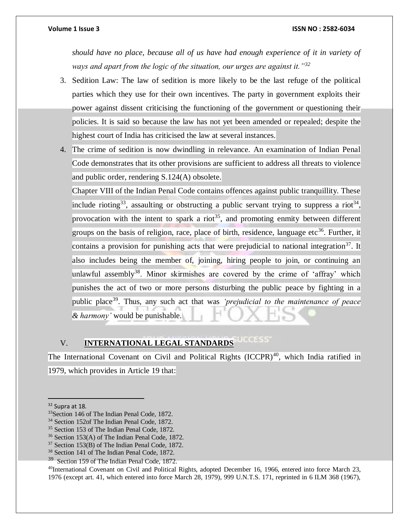*should have no place, because all of us have had enough experience of it in variety of ways and apart from the logic of the situation, our urges are against it."<sup>32</sup>*

- 3. Sedition Law: The law of sedition is more likely to be the last refuge of the political parties which they use for their own incentives. The party in government exploits their power against dissent criticising the functioning of the government or questioning their policies. It is said so because the law has not yet been amended or repealed; despite the highest court of India has criticised the law at several instances.
- 4. The crime of sedition is now dwindling in relevance. An examination of Indian Penal Code demonstrates that its other provisions are sufficient to address all threats to violence and public order, rendering S.124(A) obsolete.

Chapter VIII of the Indian Penal Code contains offences against public tranquillity. These include rioting<sup>33</sup>, assaulting or obstructing a public servant trying to suppress a riot<sup>34</sup>, provocation with the intent to spark a riot<sup>35</sup>, and promoting enmity between different groups on the basis of religion, race, place of birth, residence, language etc<sup>36</sup>. Further, it contains a provision for punishing acts that were prejudicial to national integration<sup>37</sup>. It also includes being the member of, joining, hiring people to join, or continuing an unlawful assembly<sup>38</sup>. Minor skirmishes are covered by the crime of 'affray' which punishes the act of two or more persons disturbing the public peace by fighting in a public place<sup>39</sup>. Thus, any such act that was *'prejudicial to the maintenance of peace & harmony'* would be punishable.

## V. **INTERNATIONAL LEGAL STANDARDS**

The International Covenant on Civil and Political Rights (ICCPR)<sup>40</sup>, which India ratified in 1979, which provides in Article 19 that:

<sup>40</sup>International Covenant on Civil and Political Rights, adopted December 16, 1966, entered into force March 23, 1976 (except art. 41, which entered into force March 28, 1979), 999 U.N.T.S. 171, reprinted in 6 ILM 368 (1967),

<sup>&</sup>lt;sup>32</sup> Supra at 18.

<sup>&</sup>lt;sup>33</sup>Section 146 of The Indian Penal Code, 1872.

<sup>34</sup> Section 152of The Indian Penal Code, 1872.

<sup>35</sup> Section 153 of The Indian Penal Code, 1872.

<sup>36</sup> Section 153(A) of The Indian Penal Code, 1872.

<sup>37</sup> Section 153(B) of The Indian Penal Code, 1872.

<sup>38</sup> Section 141 of The Indian Penal Code, 1872.

<sup>&</sup>lt;sup>39</sup> Section 159 of The Indian Penal Code, 1872.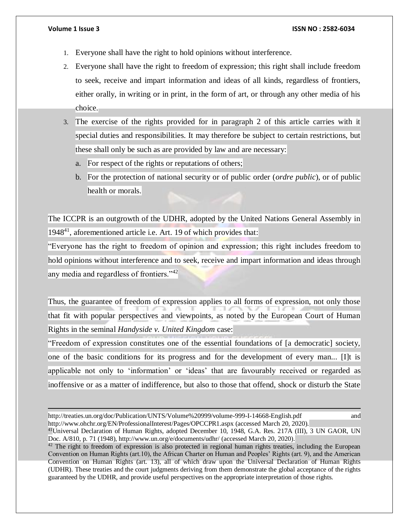- 1. Everyone shall have the right to hold opinions without interference.
- 2. Everyone shall have the right to freedom of expression; this right shall include freedom to seek, receive and impart information and ideas of all kinds, regardless of frontiers, either orally, in writing or in print, in the form of art, or through any other media of his choice.
- 3. The exercise of the rights provided for in paragraph 2 of this article carries with it special duties and responsibilities. It may therefore be subject to certain restrictions, but these shall only be such as are provided by law and are necessary:
	- a. For respect of the rights or reputations of others;
	- b. For the protection of national security or of public order (*ordre public*), or of public health or morals.

The ICCPR is an outgrowth of the UDHR, adopted by the United Nations General Assembly in  $1948<sup>41</sup>$ , aforementioned article i.e. Art. 19 of which provides that:

"Everyone has the right to freedom of opinion and expression; this right includes freedom to hold opinions without interference and to seek, receive and impart information and ideas through any media and regardless of frontiers."<sup>42</sup>

Thus, the guarantee of freedom of expression applies to all forms of expression, not only those that fit with popular perspectives and viewpoints, as noted by the European Court of Human Rights in the seminal *Handyside v. United Kingdom* case:

"Freedom of expression constitutes one of the essential foundations of [a democratic] society, one of the basic conditions for its progress and for the development of every man... [I]t is applicable not only to 'information' or 'ideas' that are favourably received or regarded as inoffensive or as a matter of indifference, but also to those that offend, shock or disturb the State

<sup>41</sup>Universal Declaration of Human Rights, adopted December 10, 1948, G.A. Res. 217A (III), 3 UN GAOR, UN Doc. A/810, p. 71 (1948), http://www.un.org/e/documents/udhr/ (accessed March 20, 2020).

http://treaties.un.org/doc/Publication/UNTS/Volume%20999/volume-999-I-14668-English.pdf and http://www.ohchr.org/EN/ProfessionalInterest/Pages/OPCCPR1.aspx (accessed March 20, 2020).

<sup>&</sup>lt;sup>42</sup> The right to freedom of expression is also protected in regional human rights treaties, including the European Convention on Human Rights (art.10), the African Charter on Human and Peoples' Rights (art. 9), and the American Convention on Human Rights (art. 13), all of which draw upon the Universal Declaration of Human Rights (UDHR). These treaties and the court judgments deriving from them demonstrate the global acceptance of the rights guaranteed by the UDHR, and provide useful perspectives on the appropriate interpretation of those rights.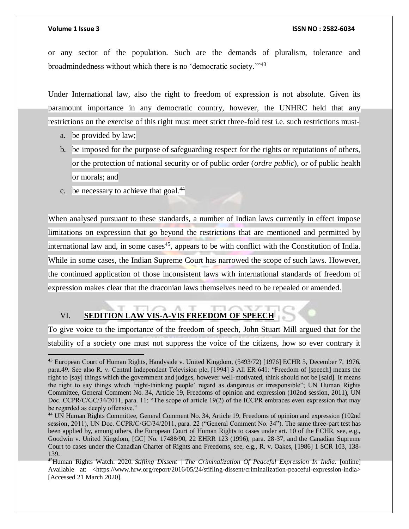## **Volume 1 Issue 3 ISSN NO : 2582-6034**

or any sector of the population. Such are the demands of pluralism, tolerance and broadmindedness without which there is no 'democratic society.'"<sup>43</sup>

Under International law, also the right to freedom of expression is not absolute. Given its paramount importance in any democratic country, however, the UNHRC held that any restrictions on the exercise of this right must meet strict three-fold test i.e. such restrictions must-

- a. be provided by law;
- b. be imposed for the purpose of safeguarding respect for the rights or reputations of others, or the protection of national security or of public order (*ordre public*), or of public health or morals; and
- c. be necessary to achieve that goal.<sup>44</sup>

When analysed pursuant to these standards, a number of Indian laws currently in effect impose limitations on expression that go beyond the restrictions that are mentioned and permitted by international law and, in some cases<sup>45</sup>, appears to be with conflict with the Constitution of India. While in some cases, the Indian Supreme Court has narrowed the scope of such laws. However, the continued application of those inconsistent laws with international standards of freedom of expression makes clear that the draconian laws themselves need to be repealed or amended.

## VI. **SEDITION LAW VIS-A-VIS FREEDOM OF SPEECH**

To give voice to the importance of the freedom of speech, John Stuart Mill argued that for the stability of a society one must not suppress the voice of the citizens, how so ever contrary it

<sup>43</sup> European Court of Human Rights, Handyside v. United Kingdom, (5493/72) [1976] ECHR 5, December 7, 1976, para.49. See also R. v. Central Independent Television plc, [1994] 3 All ER 641: "Freedom of [speech] means the right to [say] things which the government and judges, however well-motivated, think should not be [said]. It means the right to say things which 'right-thinking people' regard as dangerous or irresponsible"; UN Human Rights Committee, General Comment No. 34, Article 19, Freedoms of opinion and expression (102nd session, 2011), UN Doc. CCPR/C/GC/34/2011, para. 11: "The scope of article 19(2) of the ICCPR embraces even expression that may be regarded as deeply offensive."

<sup>44</sup> UN Human Rights Committee, General Comment No. 34, Article 19, Freedoms of opinion and expression (102nd session, 2011), UN Doc. CCPR/C/GC/34/2011, para. 22 ("General Comment No. 34"). The same three-part test has been applied by, among others, the European Court of Human Rights to cases under art. 10 of the ECHR, see, e.g., Goodwin v. United Kingdom, [GC] No. 17488/90, 22 EHRR 123 (1996), para. 28-37, and the Canadian Supreme Court to cases under the Canadian Charter of Rights and Freedoms, see, e.g., R. v. Oakes, [1986] 1 SCR 103, 138- 139.

<sup>45</sup>Human Rights Watch. 2020. *Stifling Dissent | The Criminalization Of Peaceful Expression In India*. [online] Available at: <https://www.hrw.org/report/2016/05/24/stifling-dissent/criminalization-peaceful-expression-india> [Accessed 21 March 2020].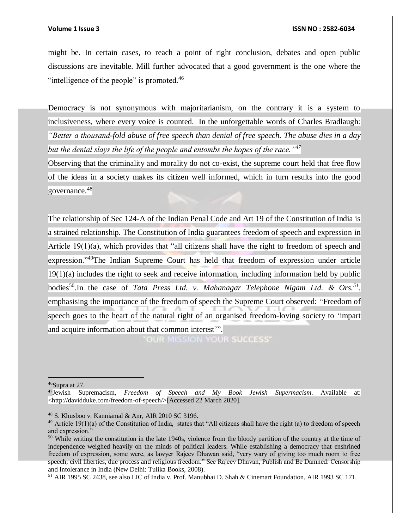might be. In certain cases, to reach a point of right conclusion, debates and open public discussions are inevitable. Mill further advocated that a good government is the one where the "intelligence of the people" is promoted.<sup>46</sup>

Democracy is not synonymous with majoritarianism, on the contrary it is a system to inclusiveness, where every voice is counted. In the unforgettable words of Charles Bradlaugh: *"Better a thousand-fold abuse of free speech than denial of free speech. The abuse dies in a day but the denial slays the life of the people and entombs the hopes of the race."<sup>47</sup>*

Observing that the criminality and morality do not co-exist, the supreme court held that free flow of the ideas in a society makes its citizen well informed, which in turn results into the good governance.<sup>48</sup>

The relationship of Sec 124-A of the Indian Penal Code and Art 19 of the Constitution of India is a strained relationship. The Constitution of India guarantees freedom of speech and expression in Article 19(1)(a), which provides that "all citizens shall have the right to freedom of speech and expression."<sup>49</sup>The Indian Supreme Court has held that freedom of expression under article 19(1)(a) includes the right to seek and receive information, including information held by public bodies<sup>50</sup>. In the case of *Tata Press Ltd. v. Mahanagar Telephone Nigam Ltd. & Ors.*<sup>51</sup>, emphasising the importance of the freedom of speech the Supreme Court observed: "Freedom of speech goes to the heart of the natural right of an organised freedom-loving society to 'impart and acquire information about that common interest'".

**OUR MISSION YOUR SUCCESS'** 

 $46$ Supra at 27.

<sup>47</sup>Jewish Supremacism, *Freedom of Speech and My Book Jewish Supermacism*. Available at: <http://davidduke.com/freedom-of-speech/>[Accessed 22 March 2020].

<sup>48</sup> S. Khusboo v. Kanniamal & Anr, AIR 2010 SC 3196.

 $^{49}$  Article 19(1)(a) of the Constitution of India, states that "All citizens shall have the right (a) to freedom of speech and expression."

 $50$  While writing the constitution in the late 1940s, violence from the bloody partition of the country at the time of independence weighed heavily on the minds of political leaders. While establishing a democracy that enshrined freedom of expression, some were, as lawyer Rajeev Dhawan said, "very wary of giving too much room to free speech, civil liberties, due process and religious freedom." See Rajeev Dhavan, Publish and Be Damned: Censorship and Intolerance in India (New Delhi: Tulika Books, 2008).

<sup>51</sup> AIR 1995 SC 2438, see also LIC of India v. Prof. Manubhai D. Shah & Cinemart Foundation, AIR 1993 SC 171.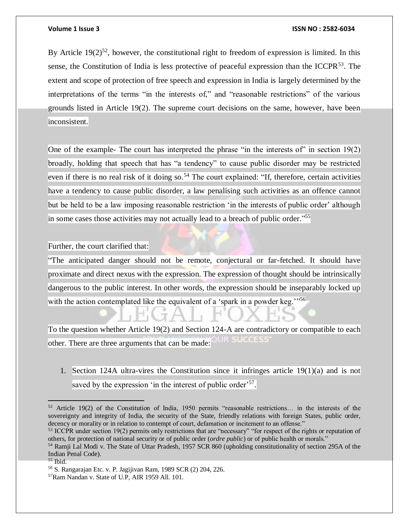By Article  $19(2)^{52}$ , however, the constitutional right to freedom of expression is limited. In this sense, the Constitution of India is less protective of peaceful expression than the ICCPR<sup>53</sup>. The extent and scope of protection of free speech and expression in India is largely determined by the interpretations of the terms "in the interests of," and "reasonable restrictions" of the various grounds listed in Article 19(2). The supreme court decisions on the same, however, have been inconsistent.

One of the example- The court has interpreted the phrase "in the interests of" in section 19(2) broadly, holding that speech that has "a tendency" to cause public disorder may be restricted even if there is no real risk of it doing so.<sup>54</sup> The court explained: "If, therefore, certain activities have a tendency to cause public disorder, a law penalising such activities as an offence cannot but be held to be a law imposing reasonable restriction 'in the interests of public order' although in some cases those activities may not actually lead to a breach of public order." 55

Further, the court clarified that:

"The anticipated danger should not be remote, conjectural or far-fetched. It should have proximate and direct nexus with the expression. The expression of thought should be intrinsically dangerous to the public interest. In other words, the expression should be inseparably locked up with the action contemplated like the equivalent of a 'spark in a powder keg."<sup>56</sup>

To the question whether Article 19(2) and Section 124-A are contradictory or compatible to each **UR SUCCESS** other. There are three arguments that can be made:

1. Section 124A ultra-vires the Constitution since it infringes article 19(1)(a) and is not saved by the expression 'in the interest of public order'<sup>57</sup>.

<sup>52</sup> Article 19(2) of the Constitution of India, 1950 permits "reasonable restrictions… in the interests of the sovereignty and integrity of India, the security of the State, friendly relations with foreign States, public order, decency or morality or in relation to contempt of court, defamation or incitement to an offense."

<sup>&</sup>lt;sup>53</sup> ICCPR under section 19(2) permits only restrictions that are "necessary" "for respect of the rights or reputation of others, for protection of national security or of public order (*ordre public*) or of public health or morals."

<sup>54</sup> Ramji Lal Modi v. The State of Uttar Pradesh, 1957 SCR 860 (upholding constitutionality of section 295A of the Indian Penal Code).

 $55$  Ibid.

<sup>56</sup> S. Rangarajan Etc. v. P. Jagijivan Ram, 1989 SCR (2) 204, 226.

<sup>57</sup>Ram Nandan v. State of U.P, AIR 1959 All. 101.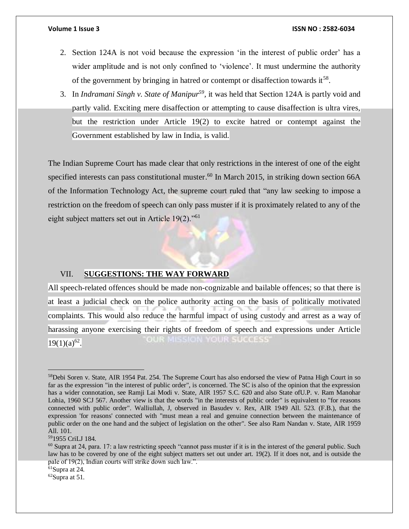- 2. Section 124A is not void because the expression 'in the interest of public order' has a wider amplitude and is not only confined to 'violence'. It must undermine the authority of the government by bringing in hatred or contempt or disaffection towards it<sup>58</sup>.
- 3. In *Indramani Singh v. State of Manipur<sup>59</sup> ,* it was held that Section 124A is partly void and partly valid. Exciting mere disaffection or attempting to cause disaffection is ultra vires, but the restriction under Article 19(2) to excite hatred or contempt against the Government established by law in India, is valid.

The Indian Supreme Court has made clear that only restrictions in the interest of one of the eight specified interests can pass constitutional muster.<sup>60</sup> In March 2015, in striking down section 66A of the Information Technology Act, the supreme court ruled that "any law seeking to impose a restriction on the freedom of speech can only pass muster if it is proximately related to any of the eight subject matters set out in Article 19(2)."<sup>61</sup>

## VII. **SUGGESTIONS: THE WAY FORWARD**

All speech-related offences should be made non-cognizable and bailable offences; so that there is at least a judicial check on the police authority acting on the basis of politically motivated complaints. This would also reduce the harmful impact of using custody and arrest as a way of harassing anyone exercising their rights of freedom of speech and expressions under Article OUR MISSION YOUR SUCCESS'  $19(1)(a)^{62}$ .

<sup>59</sup>1955 CriLJ 184.

<sup>&</sup>lt;sup>58</sup>Debi Soren v. State, AIR 1954 Pat. 254. The Supreme Court has also endorsed the view of Patna High Court in so far as the expression "in the interest of public order", is concerned. The SC is also of the opinion that the expression has a wider connotation, see Ramji Lai Modi v. State, AIR 1957 S.C. 620 and also State ofU.P. v. Ram Manohar Lohia, 1960 SCJ 567. Another view is that the words "in the interests of public order" is equivalent to "for reasons connected with public order". Walliullah, J, observed in Basudev v. Rex, AIR 1949 All. 523. (F.B.), that the expression 'for reasons' connected with "must mean a real and genuine connection between the maintenance of public order on the one hand and the subject of legislation on the other". See also Ram Nandan v. State, AIR 1959 All. 101.

 $60$  Supra at 24, para. 17: a law restricting speech "cannot pass muster if it is in the interest of the general public. Such law has to be covered by one of the eight subject matters set out under art. 19(2). If it does not, and is outside the pale of 19(2), Indian courts will strike down such law.".

<sup>61</sup>Supra at 24.

 $62$ Supra at 51.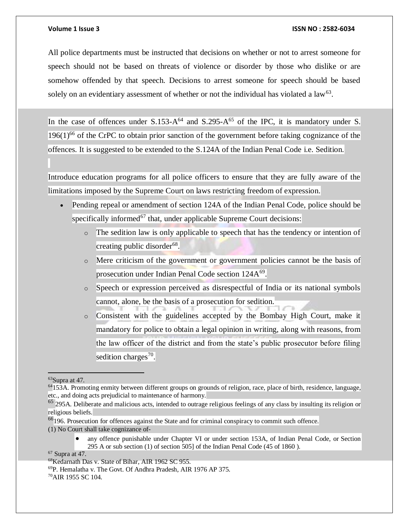All police departments must be instructed that decisions on whether or not to arrest someone for speech should not be based on threats of violence or disorder by those who dislike or are somehow offended by that speech. Decisions to arrest someone for speech should be based solely on an evidentiary assessment of whether or not the individual has violated a law<sup>63</sup>.

In the case of offences under  $S.153-A^{64}$  and  $S.295-A^{65}$  of the IPC, it is mandatory under S.  $196(1)$ <sup>66</sup> of the CrPC to obtain prior sanction of the government before taking cognizance of the offences. It is suggested to be extended to the S.124A of the Indian Penal Code i.e. Sedition.

Introduce education programs for all police officers to ensure that they are fully aware of the limitations imposed by the Supreme Court on laws restricting freedom of expression.

- Pending repeal or amendment of section 124A of the Indian Penal Code, police should be specifically informed<sup>67</sup> that, under applicable Supreme Court decisions:
	- o The sedition law is only applicable to speech that has the tendency or intention of creating public disorder<sup>68</sup>.
	- o Mere criticism of the government or government policies cannot be the basis of prosecution under Indian Penal Code section 124A<sup>69</sup>.
	- o Speech or expression perceived as disrespectful of India or its national symbols cannot, alone, be the basis of a prosecution for sedition.
	- o Consistent with the guidelines accepted by the Bombay High Court, make it mandatory for police to obtain a legal opinion in writing, along with reasons, from the law officer of the district and from the state's public prosecutor before filing sedition charges<sup>70</sup>.

 any offence punishable under Chapter VI or under section 153A, of Indian Penal Code, or Section 295 A or sub section (1) of section 505] of the Indian Penal Code (45 of 1860 ).

<sup>67</sup> Supra at 47.

  $63$ Supra at 47.

<sup>64</sup>153A. Promoting enmity between different groups on grounds of religion, race, place of birth, residence, language, etc., and doing acts prejudicial to maintenance of harmony.

 $<sup>65</sup>$  295A. Deliberate and malicious acts, intended to outrage religious feelings of any class by insulting its religion or</sup> religious beliefs.

<sup>66</sup>196. Prosecution for offences against the State and for criminal conspiracy to commit such offence.

<sup>(1)</sup> No Court shall take cognizance of-

<sup>68</sup>Kedarnath Das v. State of Bihar, AIR 1962 SC 955.

<sup>69</sup>P. Hemalatha v. The Govt. Of Andhra Pradesh, AIR 1976 AP 375.

<sup>70</sup>AIR 1955 SC 104.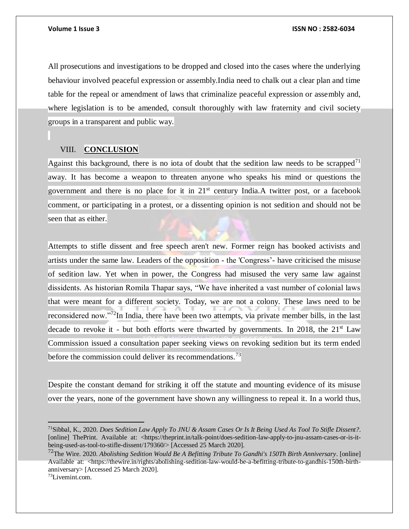All prosecutions and investigations to be dropped and closed into the cases where the underlying behaviour involved peaceful expression or assembly.India need to chalk out a clear plan and time table for the repeal or amendment of laws that criminalize peaceful expression or assembly and, where legislation is to be amended, consult thoroughly with law fraternity and civil society groups in a transparent and public way.

## VIII. **CONCLUSION**

Against this background, there is no iota of doubt that the sedition law needs to be scrapped<sup>71</sup> away. It has become a weapon to threaten anyone who speaks his mind or questions the government and there is no place for it in  $21<sup>st</sup>$  century India.A twitter post, or a facebook comment, or participating in a protest, or a dissenting opinion is not sedition and should not be seen that as either.

Attempts to stifle dissent and free speech aren't new. Former reign has booked activists and artists under the same law. Leaders of the opposition - the 'Congress'- have criticised the misuse of sedition law. Yet when in power, the Congress had misused the very same law against dissidents. As historian Romila Thapar says, "We have inherited a vast number of colonial laws that were meant for a different society. Today, we are not a colony. These laws need to be reconsidered now."<sup>72</sup>In India, there have been two attempts, via private member bills, in the last decade to revoke it - but both efforts were thwarted by governments. In 2018, the  $21^{st}$  Law Commission issued a consultation paper seeking views on revoking sedition but its term ended before the commission could deliver its recommendations.<sup>73</sup>

Despite the constant demand for striking it off the statute and mounting evidence of its misuse over the years, none of the government have shown any willingness to repeal it. In a world thus,

<sup>71</sup>Sibbal, K., 2020. *Does Sedition Law Apply To JNU & Assam Cases Or Is It Being Used As Tool To Stifle Dissent?*. [online] ThePrint. Available at: <https://theprint.in/talk-point/does-sedition-law-apply-to-jnu-assam-cases-or-is-itbeing-used-as-tool-to-stifle-dissent/179360/> [Accessed 25 March 2020].

<sup>72</sup>The Wire. 2020. *Abolishing Sedition Would Be A Befitting Tribute To Gandhi's 150Th Birth Anniversary*. [online] Available at: <https://thewire.in/rights/abolishing-sedition-law-would-be-a-befitting-tribute-to-gandhis-150th-birthanniversary> [Accessed 25 March 2020].

<sup>73</sup>Livemint.com.